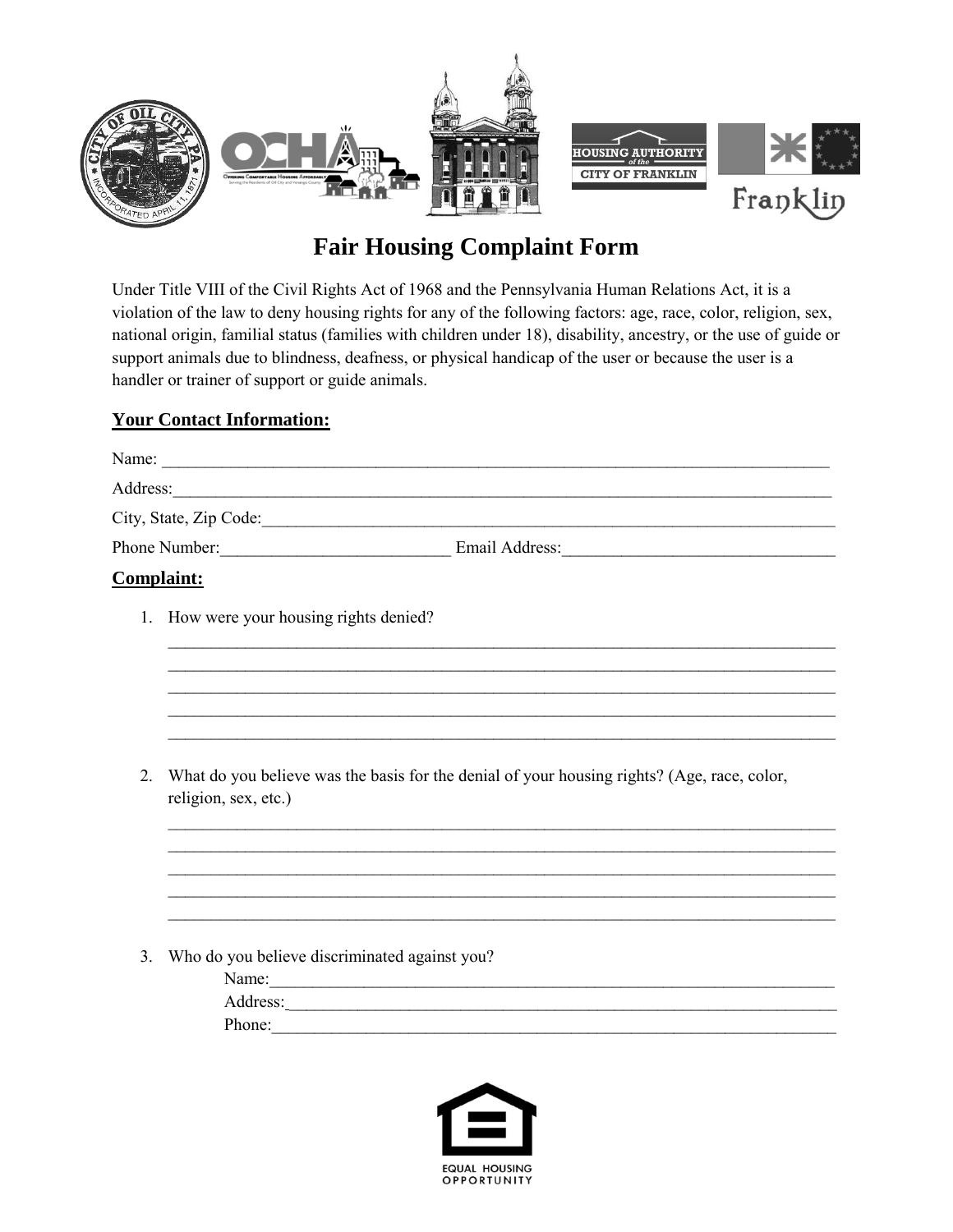

# **Fair Housing Complaint Form**

Under Title VIII of the Civil Rights Act of 1968 and the Pennsylvania Human Relations Act, it is a violation of the law to deny housing rights for any of the following factors: age, race, color, religion, sex, national origin, familial status (families with children under 18), disability, ancestry, or the use of guide or support animals due to blindness, deafness, or physical handicap of the user or because the user is a handler or trainer of support or guide animals.

## **Your Contact Information:**

|               | Address:                                                                                                            |
|---------------|---------------------------------------------------------------------------------------------------------------------|
|               |                                                                                                                     |
|               | Phone Number: Email Address: Email Address:                                                                         |
|               | <b>Complaint:</b>                                                                                                   |
|               | 1. How were your housing rights denied?                                                                             |
|               |                                                                                                                     |
|               |                                                                                                                     |
| 2.            | What do you believe was the basis for the denial of your housing rights? (Age, race, color,<br>religion, sex, etc.) |
|               |                                                                                                                     |
|               |                                                                                                                     |
| $\mathcal{E}$ | Who do you believe discriminated against you?                                                                       |
|               | Name:                                                                                                               |
|               |                                                                                                                     |
|               | Phone:                                                                                                              |